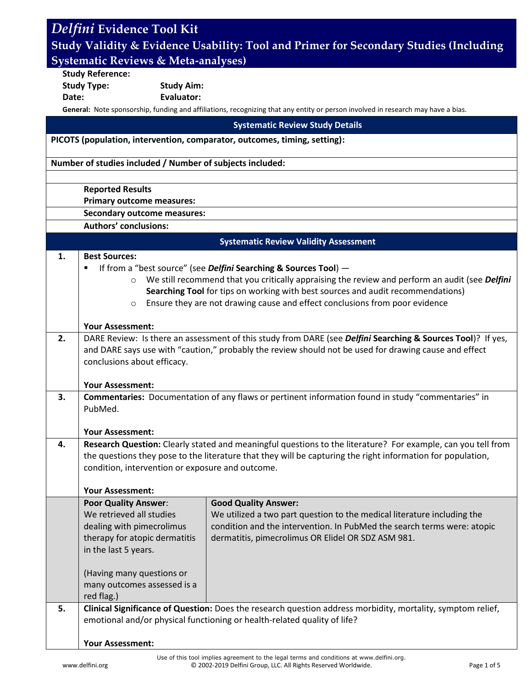| Delfini Evidence Tool Kit                                                             |                                                                                                                                                                                         |                                                                                                                                  |  |  |
|---------------------------------------------------------------------------------------|-----------------------------------------------------------------------------------------------------------------------------------------------------------------------------------------|----------------------------------------------------------------------------------------------------------------------------------|--|--|
| Study Validity & Evidence Usability: Tool and Primer for Secondary Studies (Including |                                                                                                                                                                                         |                                                                                                                                  |  |  |
| <b>Systematic Reviews &amp; Meta-analyses)</b>                                        |                                                                                                                                                                                         |                                                                                                                                  |  |  |
|                                                                                       | <b>Study Reference:</b>                                                                                                                                                                 |                                                                                                                                  |  |  |
|                                                                                       | <b>Study Type:</b><br><b>Study Aim:</b>                                                                                                                                                 |                                                                                                                                  |  |  |
| Date:                                                                                 | <b>Evaluator:</b>                                                                                                                                                                       |                                                                                                                                  |  |  |
|                                                                                       |                                                                                                                                                                                         | General: Note sponsorship, funding and affiliations, recognizing that any entity or person involved in research may have a bias. |  |  |
|                                                                                       |                                                                                                                                                                                         | <b>Systematic Review Study Details</b>                                                                                           |  |  |
| PICOTS (population, intervention, comparator, outcomes, timing, setting):             |                                                                                                                                                                                         |                                                                                                                                  |  |  |
| Number of studies included / Number of subjects included:                             |                                                                                                                                                                                         |                                                                                                                                  |  |  |
|                                                                                       |                                                                                                                                                                                         |                                                                                                                                  |  |  |
|                                                                                       | <b>Reported Results</b>                                                                                                                                                                 |                                                                                                                                  |  |  |
|                                                                                       | <b>Primary outcome measures:</b>                                                                                                                                                        |                                                                                                                                  |  |  |
|                                                                                       | <b>Secondary outcome measures:</b>                                                                                                                                                      |                                                                                                                                  |  |  |
|                                                                                       | <b>Authors' conclusions:</b>                                                                                                                                                            |                                                                                                                                  |  |  |
|                                                                                       |                                                                                                                                                                                         | <b>Systematic Review Validity Assessment</b>                                                                                     |  |  |
| 1.                                                                                    | <b>Best Sources:</b>                                                                                                                                                                    |                                                                                                                                  |  |  |
|                                                                                       | If from a "best source" (see Delfini Searching & Sources Tool) -<br>٠<br>We still recommend that you critically appraising the review and perform an audit (see Delfini<br>$\circ$      |                                                                                                                                  |  |  |
|                                                                                       | Searching Tool for tips on working with best sources and audit recommendations)                                                                                                         |                                                                                                                                  |  |  |
|                                                                                       | Ensure they are not drawing cause and effect conclusions from poor evidence<br>$\circ$                                                                                                  |                                                                                                                                  |  |  |
|                                                                                       |                                                                                                                                                                                         |                                                                                                                                  |  |  |
| 2.                                                                                    | <b>Your Assessment:</b><br>DARE Review: Is there an assessment of this study from DARE (see Delfini Searching & Sources Tool)? If yes,                                                  |                                                                                                                                  |  |  |
|                                                                                       | and DARE says use with "caution," probably the review should not be used for drawing cause and effect                                                                                   |                                                                                                                                  |  |  |
|                                                                                       | conclusions about efficacy.                                                                                                                                                             |                                                                                                                                  |  |  |
|                                                                                       |                                                                                                                                                                                         |                                                                                                                                  |  |  |
|                                                                                       | <b>Your Assessment:</b>                                                                                                                                                                 |                                                                                                                                  |  |  |
| 3.                                                                                    | Commentaries: Documentation of any flaws or pertinent information found in study "commentaries" in<br>PubMed.                                                                           |                                                                                                                                  |  |  |
|                                                                                       |                                                                                                                                                                                         |                                                                                                                                  |  |  |
|                                                                                       | <b>Your Assessment:</b>                                                                                                                                                                 |                                                                                                                                  |  |  |
| 4.                                                                                    | Research Question: Clearly stated and meaningful questions to the literature? For example, can you tell from                                                                            |                                                                                                                                  |  |  |
|                                                                                       | the questions they pose to the literature that they will be capturing the right information for population,<br>condition, intervention or exposure and outcome.                         |                                                                                                                                  |  |  |
|                                                                                       |                                                                                                                                                                                         |                                                                                                                                  |  |  |
|                                                                                       | <b>Your Assessment:</b>                                                                                                                                                                 |                                                                                                                                  |  |  |
|                                                                                       | <b>Poor Quality Answer:</b>                                                                                                                                                             | <b>Good Quality Answer:</b>                                                                                                      |  |  |
|                                                                                       | We retrieved all studies                                                                                                                                                                | We utilized a two part question to the medical literature including the                                                          |  |  |
|                                                                                       | dealing with pimecrolimus                                                                                                                                                               | condition and the intervention. In PubMed the search terms were: atopic                                                          |  |  |
|                                                                                       | therapy for atopic dermatitis<br>in the last 5 years.                                                                                                                                   | dermatitis, pimecrolimus OR Elidel OR SDZ ASM 981.                                                                               |  |  |
|                                                                                       |                                                                                                                                                                                         |                                                                                                                                  |  |  |
|                                                                                       | (Having many questions or                                                                                                                                                               |                                                                                                                                  |  |  |
|                                                                                       | many outcomes assessed is a                                                                                                                                                             |                                                                                                                                  |  |  |
|                                                                                       | red flag.)                                                                                                                                                                              |                                                                                                                                  |  |  |
| 5.                                                                                    | Clinical Significance of Question: Does the research question address morbidity, mortality, symptom relief,<br>emotional and/or physical functioning or health-related quality of life? |                                                                                                                                  |  |  |
|                                                                                       |                                                                                                                                                                                         |                                                                                                                                  |  |  |
|                                                                                       | <b>Your Assessment:</b>                                                                                                                                                                 |                                                                                                                                  |  |  |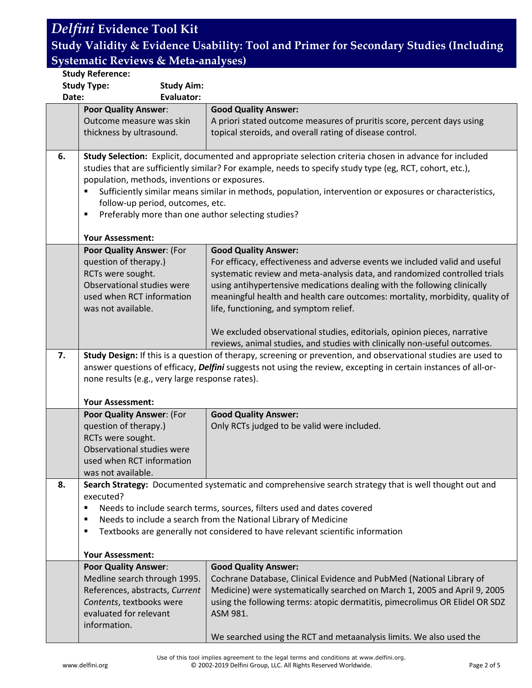### *Delfini* **Evidence Tool Kit**

#### **Study Validity & Evidence Usability: Tool and Primer for Secondary Studies (Including Systematic Reviews & Meta-analyses)**

#### **Study Reference: Study Type: Study Aim: Date: Evaluator: Poor Quality Answer**: Outcome measure was skin thickness by ultrasound. **Good Quality Answer:** A priori stated outcome measures of pruritis score, percent days using topical steroids, and overall rating of disease control. **6. Study Selection:** Explicit, documented and appropriate selection criteria chosen in advance for included studies that are sufficiently similar? For example, needs to specify study type (eg, RCT, cohort, etc.), population, methods, inventions or exposures. Sufficiently similar means similar in methods, population, intervention or exposures or characteristics, follow-up period, outcomes, etc. **Preferably more than one author selecting studies? Your Assessment: Poor Quality Answer**: (For question of therapy.) RCTs were sought. Observational studies were used when RCT information was not available. **Good Quality Answer:** For efficacy, effectiveness and adverse events we included valid and useful systematic review and meta-analysis data, and randomized controlled trials using antihypertensive medications dealing with the following clinically meaningful health and health care outcomes: mortality, morbidity, quality of life, functioning, and symptom relief. We excluded observational studies, editorials, opinion pieces, narrative reviews, animal studies, and studies with clinically non-useful outcomes. **7. Study Design:** If this is a question of therapy, screening or prevention, and observational studies are used to answer questions of efficacy, *Delfini* suggests not using the review, excepting in certain instances of all-ornone results (e.g., very large response rates). **Your Assessment: Poor Quality Answer**: (For question of therapy.) RCTs were sought. Observational studies were used when RCT information was not available. **Good Quality Answer:** Only RCTs judged to be valid were included. **8. Search Strategy:** Documented systematic and comprehensive search strategy that is well thought out and executed? Needs to include search terms, sources, filters used and dates covered Needs to include a search from the National Library of Medicine Textbooks are generally not considered to have relevant scientific information **Your Assessment: Poor Quality Answer**: Medline search through 1995. References, abstracts, *Current Contents*, textbooks were evaluated for relevant information. **Good Quality Answer:** Cochrane Database, Clinical Evidence and PubMed (National Library of Medicine) were systematically searched on March 1, 2005 and April 9, 2005 using the following terms: atopic dermatitis, pimecrolimus OR Elidel OR SDZ ASM 981. We searched using the RCT and metaanalysis limits. We also used the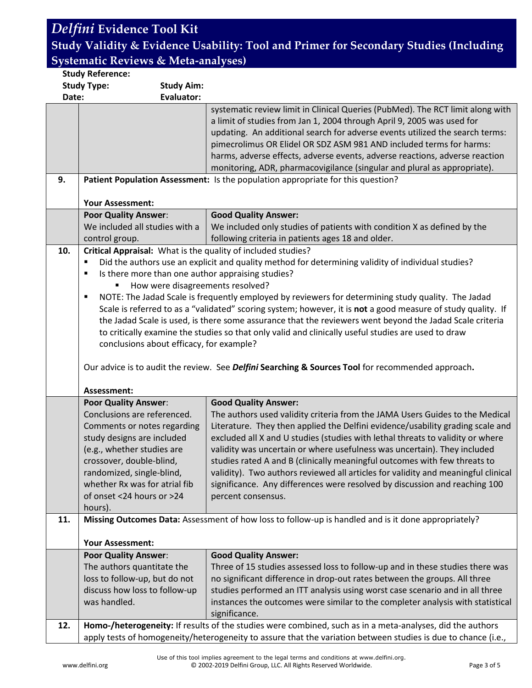# *Delfini* **Evidence Tool Kit**

**Study Validity & Evidence Usability: Tool and Primer for Secondary Studies (Including Systematic Reviews & Meta-analyses)**

| <b>Study Type:</b><br><b>Study Aim:</b><br><b>Evaluator:</b><br>Date:<br>systematic review limit in Clinical Queries (PubMed). The RCT limit along with<br>a limit of studies from Jan 1, 2004 through April 9, 2005 was used for<br>updating. An additional search for adverse events utilized the search terms:<br>pimecrolimus OR Elidel OR SDZ ASM 981 AND included terms for harms:<br>harms, adverse effects, adverse events, adverse reactions, adverse reaction<br>monitoring, ADR, pharmacovigilance (singular and plural as appropriate).<br>9.<br>Patient Population Assessment: Is the population appropriate for this question?<br><b>Your Assessment:</b><br><b>Poor Quality Answer:</b><br><b>Good Quality Answer:</b><br>We included all studies with a<br>We included only studies of patients with condition X as defined by the<br>following criteria in patients ages 18 and older.<br>control group.<br>Critical Appraisal: What is the quality of included studies?<br>10.<br>Did the authors use an explicit and quality method for determining validity of individual studies?<br>٠<br>Is there more than one author appraising studies?<br>٠<br>How were disagreements resolved?<br>NOTE: The Jadad Scale is frequently employed by reviewers for determining study quality. The Jadad<br>٠<br>Scale is referred to as a "validated" scoring system; however, it is not a good measure of study quality. If<br>the Jadad Scale is used, is there some assurance that the reviewers went beyond the Jadad Scale criteria<br>to critically examine the studies so that only valid and clinically useful studies are used to draw<br>conclusions about efficacy, for example?<br>Our advice is to audit the review. See Delfini Searching & Sources Tool for recommended approach.<br>Assessment:<br><b>Poor Quality Answer:</b><br><b>Good Quality Answer:</b><br>Conclusions are referenced.<br>The authors used validity criteria from the JAMA Users Guides to the Medical<br>Literature. They then applied the Delfini evidence/usability grading scale and<br>Comments or notes regarding<br>excluded all X and U studies (studies with lethal threats to validity or where<br>study designs are included<br>(e.g., whether studies are<br>validity was uncertain or where usefulness was uncertain). They included |
|-------------------------------------------------------------------------------------------------------------------------------------------------------------------------------------------------------------------------------------------------------------------------------------------------------------------------------------------------------------------------------------------------------------------------------------------------------------------------------------------------------------------------------------------------------------------------------------------------------------------------------------------------------------------------------------------------------------------------------------------------------------------------------------------------------------------------------------------------------------------------------------------------------------------------------------------------------------------------------------------------------------------------------------------------------------------------------------------------------------------------------------------------------------------------------------------------------------------------------------------------------------------------------------------------------------------------------------------------------------------------------------------------------------------------------------------------------------------------------------------------------------------------------------------------------------------------------------------------------------------------------------------------------------------------------------------------------------------------------------------------------------------------------------------------------------------------------------------------------------------------------------------------------------------------------------------------------------------------------------------------------------------------------------------------------------------------------------------------------------------------------------------------------------------------------------------------------------------------------------------------------------------------------------------------------------------------------------------------|
|                                                                                                                                                                                                                                                                                                                                                                                                                                                                                                                                                                                                                                                                                                                                                                                                                                                                                                                                                                                                                                                                                                                                                                                                                                                                                                                                                                                                                                                                                                                                                                                                                                                                                                                                                                                                                                                                                                                                                                                                                                                                                                                                                                                                                                                                                                                                                 |
|                                                                                                                                                                                                                                                                                                                                                                                                                                                                                                                                                                                                                                                                                                                                                                                                                                                                                                                                                                                                                                                                                                                                                                                                                                                                                                                                                                                                                                                                                                                                                                                                                                                                                                                                                                                                                                                                                                                                                                                                                                                                                                                                                                                                                                                                                                                                                 |
|                                                                                                                                                                                                                                                                                                                                                                                                                                                                                                                                                                                                                                                                                                                                                                                                                                                                                                                                                                                                                                                                                                                                                                                                                                                                                                                                                                                                                                                                                                                                                                                                                                                                                                                                                                                                                                                                                                                                                                                                                                                                                                                                                                                                                                                                                                                                                 |
|                                                                                                                                                                                                                                                                                                                                                                                                                                                                                                                                                                                                                                                                                                                                                                                                                                                                                                                                                                                                                                                                                                                                                                                                                                                                                                                                                                                                                                                                                                                                                                                                                                                                                                                                                                                                                                                                                                                                                                                                                                                                                                                                                                                                                                                                                                                                                 |
|                                                                                                                                                                                                                                                                                                                                                                                                                                                                                                                                                                                                                                                                                                                                                                                                                                                                                                                                                                                                                                                                                                                                                                                                                                                                                                                                                                                                                                                                                                                                                                                                                                                                                                                                                                                                                                                                                                                                                                                                                                                                                                                                                                                                                                                                                                                                                 |
|                                                                                                                                                                                                                                                                                                                                                                                                                                                                                                                                                                                                                                                                                                                                                                                                                                                                                                                                                                                                                                                                                                                                                                                                                                                                                                                                                                                                                                                                                                                                                                                                                                                                                                                                                                                                                                                                                                                                                                                                                                                                                                                                                                                                                                                                                                                                                 |
|                                                                                                                                                                                                                                                                                                                                                                                                                                                                                                                                                                                                                                                                                                                                                                                                                                                                                                                                                                                                                                                                                                                                                                                                                                                                                                                                                                                                                                                                                                                                                                                                                                                                                                                                                                                                                                                                                                                                                                                                                                                                                                                                                                                                                                                                                                                                                 |
|                                                                                                                                                                                                                                                                                                                                                                                                                                                                                                                                                                                                                                                                                                                                                                                                                                                                                                                                                                                                                                                                                                                                                                                                                                                                                                                                                                                                                                                                                                                                                                                                                                                                                                                                                                                                                                                                                                                                                                                                                                                                                                                                                                                                                                                                                                                                                 |
|                                                                                                                                                                                                                                                                                                                                                                                                                                                                                                                                                                                                                                                                                                                                                                                                                                                                                                                                                                                                                                                                                                                                                                                                                                                                                                                                                                                                                                                                                                                                                                                                                                                                                                                                                                                                                                                                                                                                                                                                                                                                                                                                                                                                                                                                                                                                                 |
|                                                                                                                                                                                                                                                                                                                                                                                                                                                                                                                                                                                                                                                                                                                                                                                                                                                                                                                                                                                                                                                                                                                                                                                                                                                                                                                                                                                                                                                                                                                                                                                                                                                                                                                                                                                                                                                                                                                                                                                                                                                                                                                                                                                                                                                                                                                                                 |
|                                                                                                                                                                                                                                                                                                                                                                                                                                                                                                                                                                                                                                                                                                                                                                                                                                                                                                                                                                                                                                                                                                                                                                                                                                                                                                                                                                                                                                                                                                                                                                                                                                                                                                                                                                                                                                                                                                                                                                                                                                                                                                                                                                                                                                                                                                                                                 |
|                                                                                                                                                                                                                                                                                                                                                                                                                                                                                                                                                                                                                                                                                                                                                                                                                                                                                                                                                                                                                                                                                                                                                                                                                                                                                                                                                                                                                                                                                                                                                                                                                                                                                                                                                                                                                                                                                                                                                                                                                                                                                                                                                                                                                                                                                                                                                 |
|                                                                                                                                                                                                                                                                                                                                                                                                                                                                                                                                                                                                                                                                                                                                                                                                                                                                                                                                                                                                                                                                                                                                                                                                                                                                                                                                                                                                                                                                                                                                                                                                                                                                                                                                                                                                                                                                                                                                                                                                                                                                                                                                                                                                                                                                                                                                                 |
|                                                                                                                                                                                                                                                                                                                                                                                                                                                                                                                                                                                                                                                                                                                                                                                                                                                                                                                                                                                                                                                                                                                                                                                                                                                                                                                                                                                                                                                                                                                                                                                                                                                                                                                                                                                                                                                                                                                                                                                                                                                                                                                                                                                                                                                                                                                                                 |
|                                                                                                                                                                                                                                                                                                                                                                                                                                                                                                                                                                                                                                                                                                                                                                                                                                                                                                                                                                                                                                                                                                                                                                                                                                                                                                                                                                                                                                                                                                                                                                                                                                                                                                                                                                                                                                                                                                                                                                                                                                                                                                                                                                                                                                                                                                                                                 |
|                                                                                                                                                                                                                                                                                                                                                                                                                                                                                                                                                                                                                                                                                                                                                                                                                                                                                                                                                                                                                                                                                                                                                                                                                                                                                                                                                                                                                                                                                                                                                                                                                                                                                                                                                                                                                                                                                                                                                                                                                                                                                                                                                                                                                                                                                                                                                 |
|                                                                                                                                                                                                                                                                                                                                                                                                                                                                                                                                                                                                                                                                                                                                                                                                                                                                                                                                                                                                                                                                                                                                                                                                                                                                                                                                                                                                                                                                                                                                                                                                                                                                                                                                                                                                                                                                                                                                                                                                                                                                                                                                                                                                                                                                                                                                                 |
|                                                                                                                                                                                                                                                                                                                                                                                                                                                                                                                                                                                                                                                                                                                                                                                                                                                                                                                                                                                                                                                                                                                                                                                                                                                                                                                                                                                                                                                                                                                                                                                                                                                                                                                                                                                                                                                                                                                                                                                                                                                                                                                                                                                                                                                                                                                                                 |
|                                                                                                                                                                                                                                                                                                                                                                                                                                                                                                                                                                                                                                                                                                                                                                                                                                                                                                                                                                                                                                                                                                                                                                                                                                                                                                                                                                                                                                                                                                                                                                                                                                                                                                                                                                                                                                                                                                                                                                                                                                                                                                                                                                                                                                                                                                                                                 |
|                                                                                                                                                                                                                                                                                                                                                                                                                                                                                                                                                                                                                                                                                                                                                                                                                                                                                                                                                                                                                                                                                                                                                                                                                                                                                                                                                                                                                                                                                                                                                                                                                                                                                                                                                                                                                                                                                                                                                                                                                                                                                                                                                                                                                                                                                                                                                 |
|                                                                                                                                                                                                                                                                                                                                                                                                                                                                                                                                                                                                                                                                                                                                                                                                                                                                                                                                                                                                                                                                                                                                                                                                                                                                                                                                                                                                                                                                                                                                                                                                                                                                                                                                                                                                                                                                                                                                                                                                                                                                                                                                                                                                                                                                                                                                                 |
|                                                                                                                                                                                                                                                                                                                                                                                                                                                                                                                                                                                                                                                                                                                                                                                                                                                                                                                                                                                                                                                                                                                                                                                                                                                                                                                                                                                                                                                                                                                                                                                                                                                                                                                                                                                                                                                                                                                                                                                                                                                                                                                                                                                                                                                                                                                                                 |
|                                                                                                                                                                                                                                                                                                                                                                                                                                                                                                                                                                                                                                                                                                                                                                                                                                                                                                                                                                                                                                                                                                                                                                                                                                                                                                                                                                                                                                                                                                                                                                                                                                                                                                                                                                                                                                                                                                                                                                                                                                                                                                                                                                                                                                                                                                                                                 |
|                                                                                                                                                                                                                                                                                                                                                                                                                                                                                                                                                                                                                                                                                                                                                                                                                                                                                                                                                                                                                                                                                                                                                                                                                                                                                                                                                                                                                                                                                                                                                                                                                                                                                                                                                                                                                                                                                                                                                                                                                                                                                                                                                                                                                                                                                                                                                 |
|                                                                                                                                                                                                                                                                                                                                                                                                                                                                                                                                                                                                                                                                                                                                                                                                                                                                                                                                                                                                                                                                                                                                                                                                                                                                                                                                                                                                                                                                                                                                                                                                                                                                                                                                                                                                                                                                                                                                                                                                                                                                                                                                                                                                                                                                                                                                                 |
|                                                                                                                                                                                                                                                                                                                                                                                                                                                                                                                                                                                                                                                                                                                                                                                                                                                                                                                                                                                                                                                                                                                                                                                                                                                                                                                                                                                                                                                                                                                                                                                                                                                                                                                                                                                                                                                                                                                                                                                                                                                                                                                                                                                                                                                                                                                                                 |
|                                                                                                                                                                                                                                                                                                                                                                                                                                                                                                                                                                                                                                                                                                                                                                                                                                                                                                                                                                                                                                                                                                                                                                                                                                                                                                                                                                                                                                                                                                                                                                                                                                                                                                                                                                                                                                                                                                                                                                                                                                                                                                                                                                                                                                                                                                                                                 |
|                                                                                                                                                                                                                                                                                                                                                                                                                                                                                                                                                                                                                                                                                                                                                                                                                                                                                                                                                                                                                                                                                                                                                                                                                                                                                                                                                                                                                                                                                                                                                                                                                                                                                                                                                                                                                                                                                                                                                                                                                                                                                                                                                                                                                                                                                                                                                 |
| studies rated A and B (clinically meaningful outcomes with few threats to<br>crossover, double-blind,                                                                                                                                                                                                                                                                                                                                                                                                                                                                                                                                                                                                                                                                                                                                                                                                                                                                                                                                                                                                                                                                                                                                                                                                                                                                                                                                                                                                                                                                                                                                                                                                                                                                                                                                                                                                                                                                                                                                                                                                                                                                                                                                                                                                                                           |
| validity). Two authors reviewed all articles for validity and meaningful clinical<br>randomized, single-blind,                                                                                                                                                                                                                                                                                                                                                                                                                                                                                                                                                                                                                                                                                                                                                                                                                                                                                                                                                                                                                                                                                                                                                                                                                                                                                                                                                                                                                                                                                                                                                                                                                                                                                                                                                                                                                                                                                                                                                                                                                                                                                                                                                                                                                                  |
| whether Rx was for atrial fib<br>significance. Any differences were resolved by discussion and reaching 100                                                                                                                                                                                                                                                                                                                                                                                                                                                                                                                                                                                                                                                                                                                                                                                                                                                                                                                                                                                                                                                                                                                                                                                                                                                                                                                                                                                                                                                                                                                                                                                                                                                                                                                                                                                                                                                                                                                                                                                                                                                                                                                                                                                                                                     |
| of onset <24 hours or >24<br>percent consensus.                                                                                                                                                                                                                                                                                                                                                                                                                                                                                                                                                                                                                                                                                                                                                                                                                                                                                                                                                                                                                                                                                                                                                                                                                                                                                                                                                                                                                                                                                                                                                                                                                                                                                                                                                                                                                                                                                                                                                                                                                                                                                                                                                                                                                                                                                                 |
| hours).                                                                                                                                                                                                                                                                                                                                                                                                                                                                                                                                                                                                                                                                                                                                                                                                                                                                                                                                                                                                                                                                                                                                                                                                                                                                                                                                                                                                                                                                                                                                                                                                                                                                                                                                                                                                                                                                                                                                                                                                                                                                                                                                                                                                                                                                                                                                         |
| Missing Outcomes Data: Assessment of how loss to follow-up is handled and is it done appropriately?<br>11.                                                                                                                                                                                                                                                                                                                                                                                                                                                                                                                                                                                                                                                                                                                                                                                                                                                                                                                                                                                                                                                                                                                                                                                                                                                                                                                                                                                                                                                                                                                                                                                                                                                                                                                                                                                                                                                                                                                                                                                                                                                                                                                                                                                                                                      |
|                                                                                                                                                                                                                                                                                                                                                                                                                                                                                                                                                                                                                                                                                                                                                                                                                                                                                                                                                                                                                                                                                                                                                                                                                                                                                                                                                                                                                                                                                                                                                                                                                                                                                                                                                                                                                                                                                                                                                                                                                                                                                                                                                                                                                                                                                                                                                 |
| <b>Your Assessment:</b>                                                                                                                                                                                                                                                                                                                                                                                                                                                                                                                                                                                                                                                                                                                                                                                                                                                                                                                                                                                                                                                                                                                                                                                                                                                                                                                                                                                                                                                                                                                                                                                                                                                                                                                                                                                                                                                                                                                                                                                                                                                                                                                                                                                                                                                                                                                         |
| <b>Poor Quality Answer:</b><br><b>Good Quality Answer:</b>                                                                                                                                                                                                                                                                                                                                                                                                                                                                                                                                                                                                                                                                                                                                                                                                                                                                                                                                                                                                                                                                                                                                                                                                                                                                                                                                                                                                                                                                                                                                                                                                                                                                                                                                                                                                                                                                                                                                                                                                                                                                                                                                                                                                                                                                                      |
| The authors quantitate the<br>Three of 15 studies assessed loss to follow-up and in these studies there was                                                                                                                                                                                                                                                                                                                                                                                                                                                                                                                                                                                                                                                                                                                                                                                                                                                                                                                                                                                                                                                                                                                                                                                                                                                                                                                                                                                                                                                                                                                                                                                                                                                                                                                                                                                                                                                                                                                                                                                                                                                                                                                                                                                                                                     |
| loss to follow-up, but do not<br>no significant difference in drop-out rates between the groups. All three                                                                                                                                                                                                                                                                                                                                                                                                                                                                                                                                                                                                                                                                                                                                                                                                                                                                                                                                                                                                                                                                                                                                                                                                                                                                                                                                                                                                                                                                                                                                                                                                                                                                                                                                                                                                                                                                                                                                                                                                                                                                                                                                                                                                                                      |
| studies performed an ITT analysis using worst case scenario and in all three<br>discuss how loss to follow-up                                                                                                                                                                                                                                                                                                                                                                                                                                                                                                                                                                                                                                                                                                                                                                                                                                                                                                                                                                                                                                                                                                                                                                                                                                                                                                                                                                                                                                                                                                                                                                                                                                                                                                                                                                                                                                                                                                                                                                                                                                                                                                                                                                                                                                   |
| was handled.<br>instances the outcomes were similar to the completer analysis with statistical                                                                                                                                                                                                                                                                                                                                                                                                                                                                                                                                                                                                                                                                                                                                                                                                                                                                                                                                                                                                                                                                                                                                                                                                                                                                                                                                                                                                                                                                                                                                                                                                                                                                                                                                                                                                                                                                                                                                                                                                                                                                                                                                                                                                                                                  |
| significance.                                                                                                                                                                                                                                                                                                                                                                                                                                                                                                                                                                                                                                                                                                                                                                                                                                                                                                                                                                                                                                                                                                                                                                                                                                                                                                                                                                                                                                                                                                                                                                                                                                                                                                                                                                                                                                                                                                                                                                                                                                                                                                                                                                                                                                                                                                                                   |
| Homo-/heterogeneity: If results of the studies were combined, such as in a meta-analyses, did the authors<br>12.                                                                                                                                                                                                                                                                                                                                                                                                                                                                                                                                                                                                                                                                                                                                                                                                                                                                                                                                                                                                                                                                                                                                                                                                                                                                                                                                                                                                                                                                                                                                                                                                                                                                                                                                                                                                                                                                                                                                                                                                                                                                                                                                                                                                                                |
| apply tests of homogeneity/heterogeneity to assure that the variation between studies is due to chance (i.e.,                                                                                                                                                                                                                                                                                                                                                                                                                                                                                                                                                                                                                                                                                                                                                                                                                                                                                                                                                                                                                                                                                                                                                                                                                                                                                                                                                                                                                                                                                                                                                                                                                                                                                                                                                                                                                                                                                                                                                                                                                                                                                                                                                                                                                                   |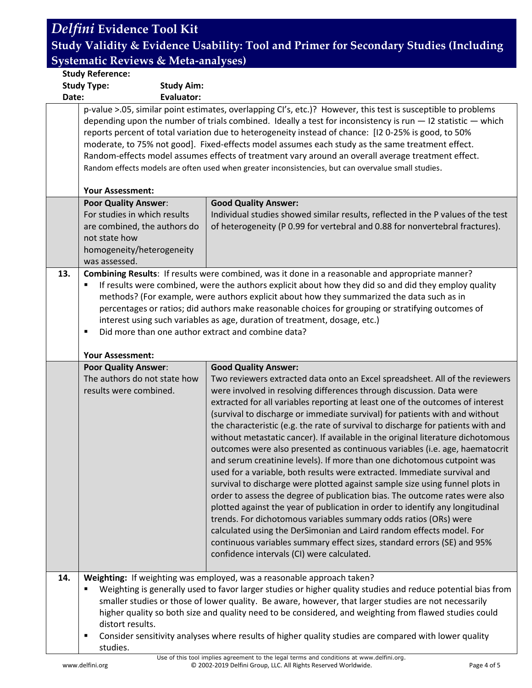#### *Delfini* **Evidence Tool Kit Study Validity & Evidence Usability: Tool and Primer for Secondary Studies (Including Systematic Reviews & Meta-analyses) Study Reference: Study Type: Study Aim: Date: Evaluator:** p-value >.05, similar point estimates, overlapping CI's, etc.)? However, this test is susceptible to problems depending upon the number of trials combined. Ideally a test for inconsistency is run  $-12$  statistic  $-$  which reports percent of total variation due to heterogeneity instead of chance: [I2 0-25% is good, to 50% moderate, to 75% not good]. Fixed-effects model assumes each study as the same treatment effect. Random-effects model assumes effects of treatment vary around an overall average treatment effect. Random effects models are often used when greater inconsistencies, but can overvalue small studies. **Your Assessment: Poor Quality Answer**: For studies in which results are combined, the authors do not state how homogeneity/heterogeneity was assessed. **Good Quality Answer:** Individual studies showed similar results, reflected in the P values of the test of heterogeneity (P 0.99 for vertebral and 0.88 for nonvertebral fractures). **13. Combining Results**: If results were combined, was it done in a reasonable and appropriate manner? If results were combined, were the authors explicit about how they did so and did they employ quality methods? (For example, were authors explicit about how they summarized the data such as in percentages or ratios; did authors make reasonable choices for grouping or stratifying outcomes of interest using such variables as age, duration of treatment, dosage, etc.) Did more than one author extract and combine data? **Your Assessment: Poor Quality Answer**: The authors do not state how results were combined. **Good Quality Answer:** Two reviewers extracted data onto an Excel spreadsheet. All of the reviewers were involved in resolving differences through discussion. Data were extracted for all variables reporting at least one of the outcomes of interest (survival to discharge or immediate survival) for patients with and without

order to assess the degree of publication bias. The outcome rates were also plotted against the year of publication in order to identify any longitudinal trends. For dichotomous variables summary odds ratios (ORs) were calculated using the DerSimonian and Laird random effects model. For continuous variables summary effect sizes, standard errors (SE) and 95% confidence intervals (CI) were calculated.

**14. Weighting:** If weighting was employed, was a reasonable approach taken?

 Weighting is generally used to favor larger studies or higher quality studies and reduce potential bias from smaller studies or those of lower quality. Be aware, however, that larger studies are not necessarily higher quality so both size and quality need to be considered, and weighting from flawed studies could distort results.

the characteristic (e.g. the rate of survival to discharge for patients with and without metastatic cancer). If available in the original literature dichotomous outcomes were also presented as continuous variables (i.e. age, haematocrit and serum creatinine levels). If more than one dichotomous cutpoint was used for a variable, both results were extracted. Immediate survival and survival to discharge were plotted against sample size using funnel plots in

 Consider sensitivity analyses where results of higher quality studies are compared with lower quality studies.